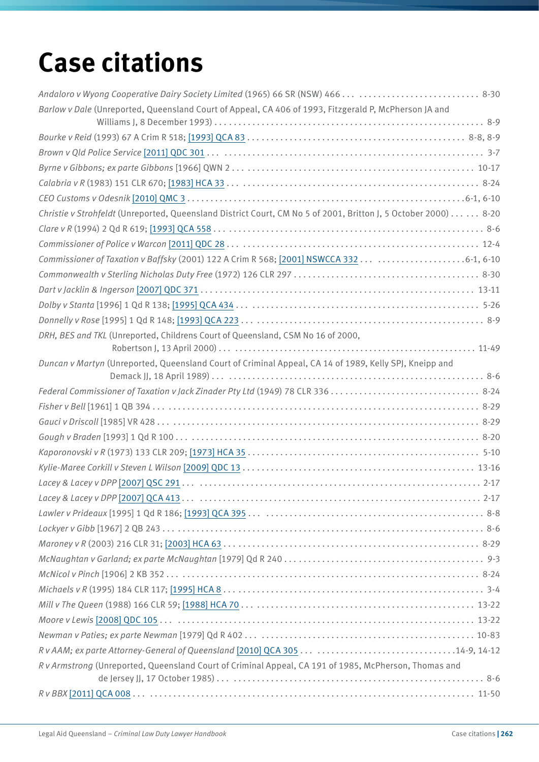## **Case citations**

| Andaloro v Wyong Cooperative Dairy Society Limited (1965) 66 SR (NSW) 466   8-30                               |
|----------------------------------------------------------------------------------------------------------------|
| Barlow v Dale (Unreported, Queensland Court of Appeal, CA 406 of 1993, Fitzgerald P, McPherson JA and          |
|                                                                                                                |
|                                                                                                                |
|                                                                                                                |
|                                                                                                                |
|                                                                                                                |
|                                                                                                                |
| Christie v Strohfeldt (Unreported, Queensland District Court, CM No 5 of 2001, Britton J, 5 October 2000) 8-20 |
|                                                                                                                |
|                                                                                                                |
| Commissioner of Taxation v Baffsky (2001) 122 A Crim R 568; [2001] NSWCCA 332  6-1, 6-10                       |
|                                                                                                                |
|                                                                                                                |
|                                                                                                                |
|                                                                                                                |
| DRH, BES and TKL (Unreported, Childrens Court of Queensland, CSM No 16 of 2000,                                |
|                                                                                                                |
| Duncan v Martyn (Unreported, Queensland Court of Criminal Appeal, CA 14 of 1989, Kelly SPJ, Kneipp and         |
|                                                                                                                |
|                                                                                                                |
|                                                                                                                |
|                                                                                                                |
|                                                                                                                |
|                                                                                                                |
|                                                                                                                |
|                                                                                                                |
|                                                                                                                |
|                                                                                                                |
|                                                                                                                |
|                                                                                                                |
|                                                                                                                |
|                                                                                                                |
|                                                                                                                |
|                                                                                                                |
|                                                                                                                |
|                                                                                                                |
|                                                                                                                |
| Rv Armstrong (Unreported, Queensland Court of Criminal Appeal, CA 191 of 1985, McPherson, Thomas and           |
|                                                                                                                |
|                                                                                                                |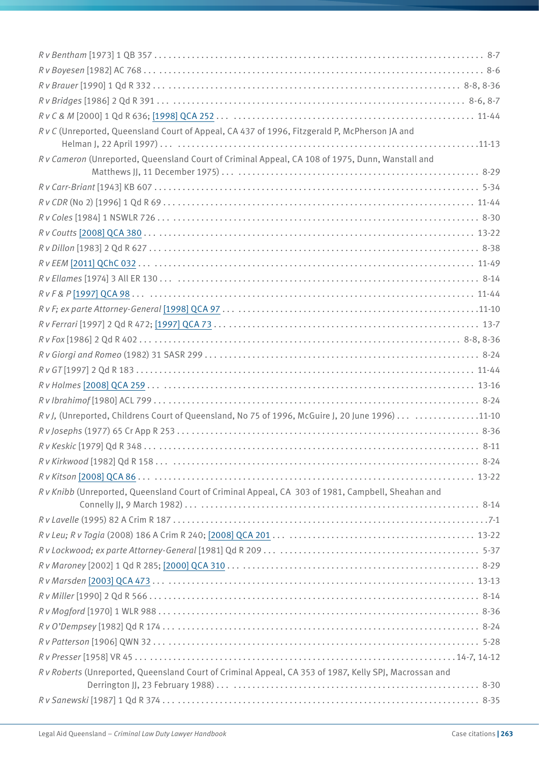| R v C (Unreported, Queensland Court of Appeal, CA 437 of 1996, Fitzgerald P, McPherson JA and          |
|--------------------------------------------------------------------------------------------------------|
| R v Cameron (Unreported, Queensland Court of Criminal Appeal, CA 108 of 1975, Dunn, Wanstall and       |
|                                                                                                        |
|                                                                                                        |
|                                                                                                        |
|                                                                                                        |
|                                                                                                        |
|                                                                                                        |
|                                                                                                        |
|                                                                                                        |
|                                                                                                        |
|                                                                                                        |
|                                                                                                        |
|                                                                                                        |
|                                                                                                        |
|                                                                                                        |
|                                                                                                        |
|                                                                                                        |
| RvJ, (Unreported, Childrens Court of Queensland, No 75 of 1996, McGuire J, 20 June 1996)  11-10        |
|                                                                                                        |
|                                                                                                        |
|                                                                                                        |
|                                                                                                        |
| Rv Knibb (Unreported, Queensland Court of Criminal Appeal, CA 303 of 1981, Campbell, Sheahan and       |
|                                                                                                        |
|                                                                                                        |
|                                                                                                        |
|                                                                                                        |
|                                                                                                        |
|                                                                                                        |
|                                                                                                        |
|                                                                                                        |
|                                                                                                        |
|                                                                                                        |
| R v Roberts (Unreported, Queensland Court of Criminal Appeal, CA 353 of 1987, Kelly SPJ, Macrossan and |
|                                                                                                        |
|                                                                                                        |